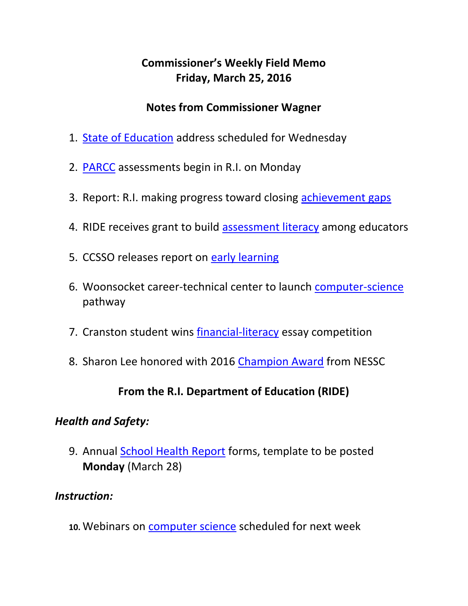# **Commissioner's Weekly Field Memo Friday, March 25, 2016**

#### **Notes from Commissioner Wagner**

- 1. [State of Education](#page-1-0) address scheduled for Wednesday
- 2. [PARCC](#page-2-0) assessments begin in R.I. on Monday
- 3. Report: R.I. making progress toward closing [achievement gaps](#page-1-0)
- 4. RIDE receives grant to build [assessment literacy](#page-3-0) among educators
- 5. CCSSO releases report on [early learning](#page-3-1)
- 6. Woonsocket career-technical center to launch [computer-science](#page-3-0) pathway
- 7. Cranston student wins [financial-literacy](#page-4-0) essay competition
- 8. Sharon Lee honored with 2016 [Champion Award](#page-2-1) from NESSC

### **From the R.I. Department of Education (RIDE)**

### *Health and Safety:*

9. Annual [School Health Report](#page-5-0) forms, template to be posted **Monday** (March 28)

### *Instruction:*

**10.** Webinars on [computer science](#page-6-0) scheduled for next week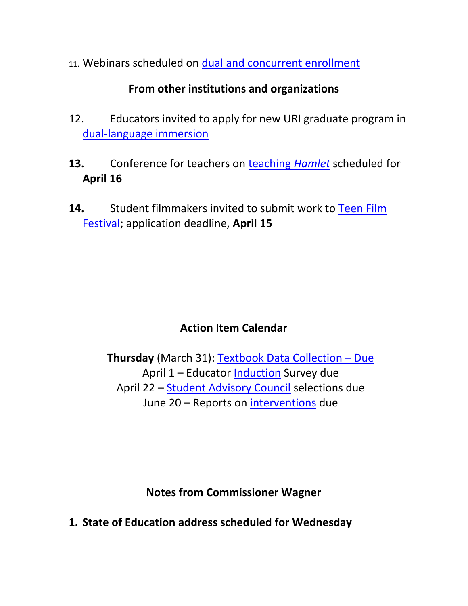11. Webinars scheduled on [dual and concurrent enrollment](#page-7-0)

### **From other institutions and organizations**

- 12. Educators invited to apply for new URI graduate program in [dual-language immersion](#page-8-0)
- **13.** Conference for teachers on [teaching](#page-8-1) *Hamlet* scheduled for **April 16**
- **14.** Student filmmakers invited to submit work to [Teen Film](#page-10-0)  [Festival;](#page-10-0) application deadline, **April 15**

# **Action Item Calendar**

**Thursday** (March 31): [Textbook Data Collection](https://www.eride.ri.gov/eRide40/DataDictionary/ViewDetails.aspx?ID=303) – Due April 1 – Educator [Induction](http://ride.ri.gov/Portals/0/Uploads/Documents/FieldMemos/031816-FM.pdf) Survey due April 22 – [Student Advisory Council](http://ride.ri.gov/Portals/0/Uploads/Documents/FieldMemos/031816-FM.pdf) selections due June 20 – Reports on [interventions](http://ride.ri.gov/Portals/0/Uploads/Documents/FieldMemos/031816-FM.pdf) due

**Notes from Commissioner Wagner**

<span id="page-1-0"></span>**1. State of Education address scheduled for Wednesday**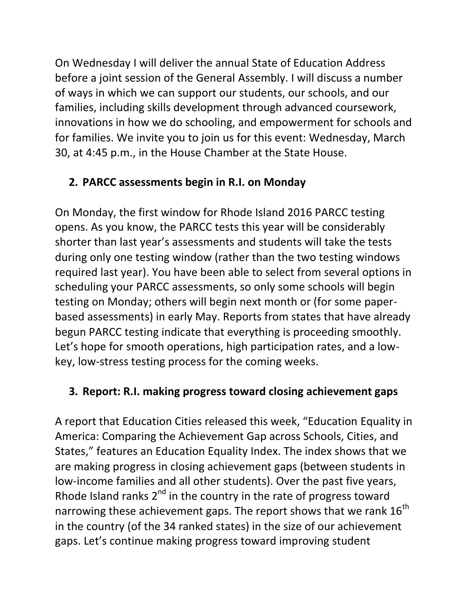On Wednesday I will deliver the annual State of Education Address before a joint session of the General Assembly. I will discuss a number of ways in which we can support our students, our schools, and our families, including skills development through advanced coursework, innovations in how we do schooling, and empowerment for schools and for families. We invite you to join us for this event: Wednesday, March 30, at 4:45 p.m., in the House Chamber at the State House.

## <span id="page-2-0"></span>**2. PARCC assessments begin in R.I. on Monday**

On Monday, the first window for Rhode Island 2016 PARCC testing opens. As you know, the PARCC tests this year will be considerably shorter than last year's assessments and students will take the tests during only one testing window (rather than the two testing windows required last year). You have been able to select from several options in scheduling your PARCC assessments, so only some schools will begin testing on Monday; others will begin next month or (for some paperbased assessments) in early May. Reports from states that have already begun PARCC testing indicate that everything is proceeding smoothly. Let's hope for smooth operations, high participation rates, and a lowkey, low-stress testing process for the coming weeks.

## **3. Report: R.I. making progress toward closing achievement gaps**

<span id="page-2-1"></span>A report that Education Cities released this week, "Education Equality in America: Comparing the Achievement Gap across Schools, Cities, and States," features an Education Equality Index. The index shows that we are making progress in closing achievement gaps (between students in low-income families and all other students). Over the past five years, Rhode Island ranks  $2^{nd}$  in the country in the rate of progress toward narrowing these achievement gaps. The report shows that we rank  $16^{th}$ in the country (of the 34 ranked states) in the size of our achievement gaps. Let's continue making progress toward improving student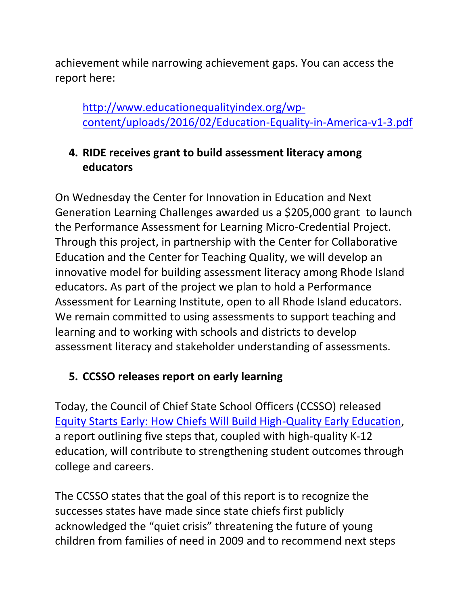achievement while narrowing achievement gaps. You can access the report here:

[http://www.educationequalityindex.org/wp](http://www.educationequalityindex.org/wp-content/uploads/2016/02/Education-Equality-in-America-v1-3.pdf)[content/uploads/2016/02/Education-Equality-in-America-v1-3.pdf](http://www.educationequalityindex.org/wp-content/uploads/2016/02/Education-Equality-in-America-v1-3.pdf)

## <span id="page-3-0"></span>**4. RIDE receives grant to build assessment literacy among educators**

On Wednesday the Center for Innovation in Education and Next Generation Learning Challenges awarded us a \$205,000 grant to launch the Performance Assessment for Learning Micro-Credential Project. Through this project, in partnership with the Center for Collaborative Education and the Center for Teaching Quality, we will develop an innovative model for building assessment literacy among Rhode Island educators. As part of the project we plan to hold a Performance Assessment for Learning Institute, open to all Rhode Island educators. We remain committed to using assessments to support teaching and learning and to working with schools and districts to develop assessment literacy and stakeholder understanding of assessments.

## <span id="page-3-1"></span>**5. CCSSO releases report on early learning**

Today, the Council of Chief State School Officers (CCSSO) released [Equity Starts Early: How Chiefs Will Build High-Quality Early Education,](http://www.ccsso.org/Documents/2016/EquityStartsEarly3242016.pdf) a report outlining five steps that, coupled with high-quality K-12 education, will contribute to strengthening student outcomes through college and careers.

The CCSSO states that the goal of this report is to recognize the successes states have made since state chiefs first publicly acknowledged the "quiet crisis" threatening the future of young children from families of need in 2009 and to recommend next steps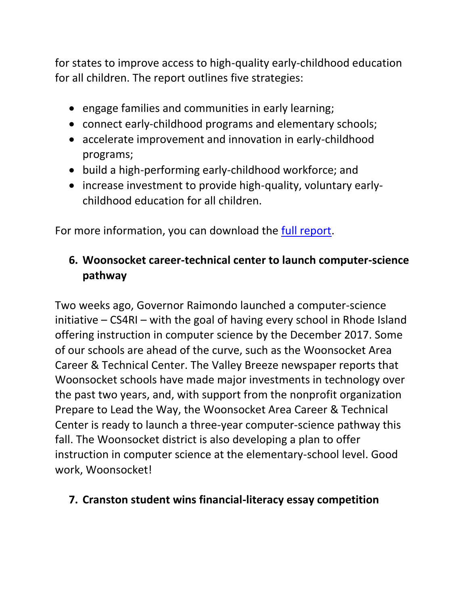for states to improve access to high-quality early-childhood education for all children. The report outlines five strategies:

- engage families and communities in early learning;
- connect early-childhood programs and elementary schools;
- accelerate improvement and innovation in early-childhood programs;
- build a high-performing early-childhood workforce; and
- increase investment to provide high-quality, voluntary earlychildhood education for all children.

For more information, you can download the [full report.](http://www.ccsso.org/Documents/2016/EquityStartsEarly3242016.pdf)

# **6. Woonsocket career-technical center to launch computer-science pathway**

Two weeks ago, Governor Raimondo launched a computer-science initiative – CS4RI – with the goal of having every school in Rhode Island offering instruction in computer science by the December 2017. Some of our schools are ahead of the curve, such as the Woonsocket Area Career & Technical Center. The Valley Breeze newspaper reports that Woonsocket schools have made major investments in technology over the past two years, and, with support from the nonprofit organization Prepare to Lead the Way, the Woonsocket Area Career & Technical Center is ready to launch a three-year computer-science pathway this fall. The Woonsocket district is also developing a plan to offer instruction in computer science at the elementary-school level. Good work, Woonsocket!

### <span id="page-4-0"></span>**7. Cranston student wins financial-literacy essay competition**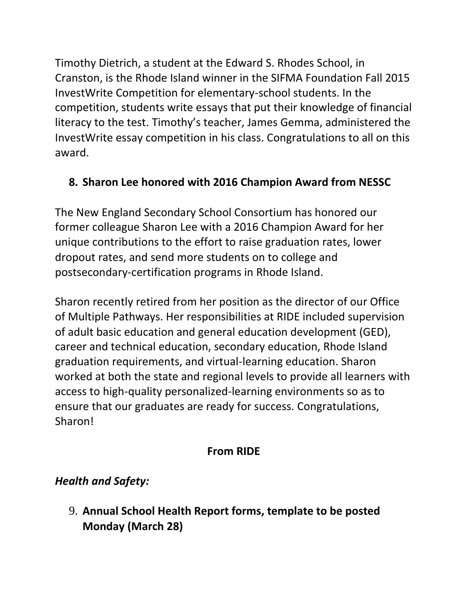Timothy Dietrich, a student at the Edward S. Rhodes School, in Cranston, is the Rhode Island winner in the SIFMA Foundation Fall 2015 InvestWrite Competition for elementary-school students. In the competition, students write essays that put their knowledge of financial literacy to the test. Timothy's teacher, James Gemma, administered the InvestWrite essay competition in his class. Congratulations to all on this award.

# **8. Sharon Lee honored with 2016 Champion Award from NESSC**

The New England Secondary School Consortium has honored our former colleague Sharon Lee with a 2016 Champion Award for her unique contributions to the effort to raise graduation rates, lower dropout rates, and send more students on to college and postsecondary-certification programs in Rhode Island.

Sharon recently retired from her position as the director of our Office of Multiple Pathways. Her responsibilities at RIDE included supervision of adult basic education and general education development (GED), career and technical education, secondary education, Rhode Island graduation requirements, and virtual-learning education. Sharon worked at both the state and regional levels to provide all learners with access to high-quality personalized-learning environments so as to ensure that our graduates are ready for success. Congratulations, Sharon!

# **From RIDE**

# *Health and Safety:*

<span id="page-5-0"></span>9. **Annual School Health Report forms, template to be posted Monday (March 28)**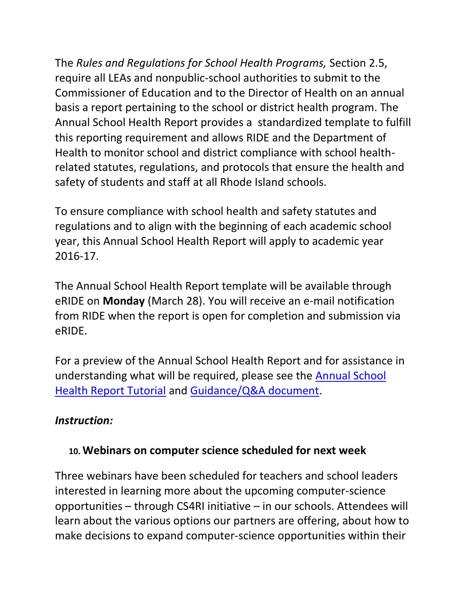The *Rules and Regulations for School Health Programs,* Section 2.5, require all LEAs and nonpublic-school authorities to submit to the Commissioner of Education and to the Director of Health on an annual basis a report pertaining to the school or district health program. The Annual School Health Report provides a standardized template to fulfill this reporting requirement and allows RIDE and the Department of Health to monitor school and district compliance with school healthrelated statutes, regulations, and protocols that ensure the health and safety of students and staff at all Rhode Island schools.

To ensure compliance with school health and safety statutes and regulations and to align with the beginning of each academic school year, this Annual School Health Report will apply to academic year 2016-17.

The Annual School Health Report template will be available through eRIDE on **Monday** (March 28). You will receive an e-mail notification from RIDE when the report is open for completion and submission via eRIDE.

For a preview of the Annual School Health Report and for assistance in understanding what will be required, please see the [Annual School](https://learn.aero.und.edu/pages.asp?PageID=177618)  [Health Report Tutorial](https://learn.aero.und.edu/pages.asp?PageID=177618) and [Guidance/Q&A document.](https://learn.aero.und.edu/pages.asp?PageID=209755)

### *Instruction:*

### <span id="page-6-0"></span>**10. Webinars on computer science scheduled for next week**

Three webinars have been scheduled for teachers and school leaders interested in learning more about the upcoming computer-science opportunities – through CS4RI initiative – in our schools. Attendees will learn about the various options our partners are offering, about how to make decisions to expand computer-science opportunities within their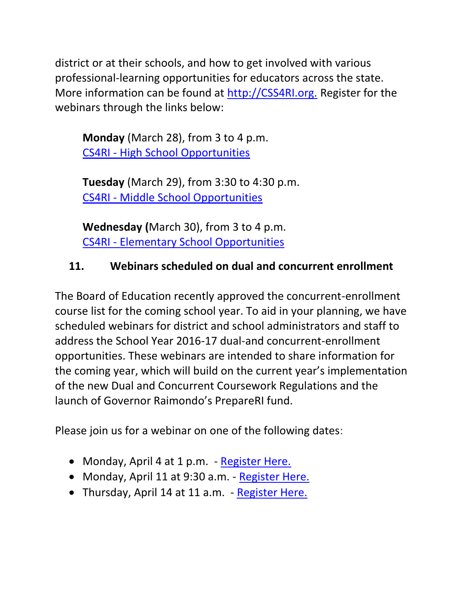district or at their schools, and how to get involved with various professional-learning opportunities for educators across the state. More information can be found at [http://CSS4RI.org.](http://css4ri.org/) Register for the webinars through the links below:

**Monday** (March 28), from 3 to 4 p.m. CS4RI - [High School Opportunities](https://attendee.gotowebinar.com/register/4071110400599819779)

**Tuesday** (March 29), from 3:30 to 4:30 p.m. CS4RI - [Middle School Opportunities](https://attendee.gotowebinar.com/register/1377240941850982403)

**Wednesday (**March 30), from 3 to 4 p.m. CS4RI - [Elementary School Opportunities](https://attendee.gotowebinar.com/register/7466153817544323075)

## <span id="page-7-0"></span>**11. Webinars scheduled on dual and concurrent enrollment**

The Board of Education recently approved the concurrent-enrollment course list for the coming school year. To aid in your planning, we have scheduled webinars for district and school administrators and staff to address the School Year 2016-17 dual-and concurrent-enrollment opportunities. These webinars are intended to share information for the coming year, which will build on the current year's implementation of the new Dual and Concurrent Coursework Regulations and the launch of Governor Raimondo's PrepareRI fund.

Please join us for a webinar on one of the following dates:

- Monday, April 4 at 1 p.m. [Register Here.](https://attendee.gotowebinar.com/register/319532746081016068)
- Monday, April 11 at 9:30 a.m. [Register Here.](https://attendee.gotowebinar.com/register/8125171400337279748)
- Thursday, April 14 at 11 a.m. [Register Here.](https://attendee.gotowebinar.com/register/976989022444634116)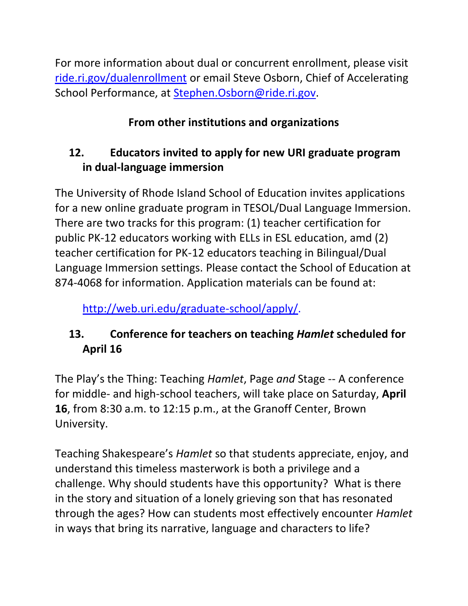For more information about dual or concurrent enrollment, please visit [ride.ri.gov/dualenrollment](http://ride.ri.gov/StudentsFamilies/EducationPrograms/DualEnrollment.aspx) or email Steve Osborn, Chief of Accelerating School Performance, at [Stephen.Osborn@ride.ri.gov.](mailto:Stephen.Osborn@ride.ri.gov)

# **From other institutions and organizations**

# <span id="page-8-0"></span>**12. Educators invited to apply for new URI graduate program in dual-language immersion**

The University of Rhode Island School of Education invites applications for a new online graduate program in TESOL/Dual Language Immersion. There are two tracks for this program: (1) teacher certification for public PK-12 educators working with ELLs in ESL education, amd (2) teacher certification for PK-12 educators teaching in Bilingual/Dual Language Immersion settings. Please contact the School of Education at 874-4068 for information. Application materials can be found at:

[http://web.uri.edu/graduate-school/apply/.](http://web.uri.edu/graduate-school/apply/)

# <span id="page-8-1"></span>**13. Conference for teachers on teaching** *Hamlet* **scheduled for April 16**

The Play's the Thing: Teaching *Hamlet*, Page *and* Stage -- A conference for middle- and high-school teachers, will take place on Saturday, **April 16**, from 8:30 a.m. to 12:15 p.m., at the Granoff Center, Brown University.

Teaching Shakespeare's *Hamlet* so that students appreciate, enjoy, and understand this timeless masterwork is both a privilege and a challenge. Why should students have this opportunity? What is there in the story and situation of a lonely grieving son that has resonated through the ages? How can students most effectively encounter *Hamlet* in ways that bring its narrative, language and characters to life?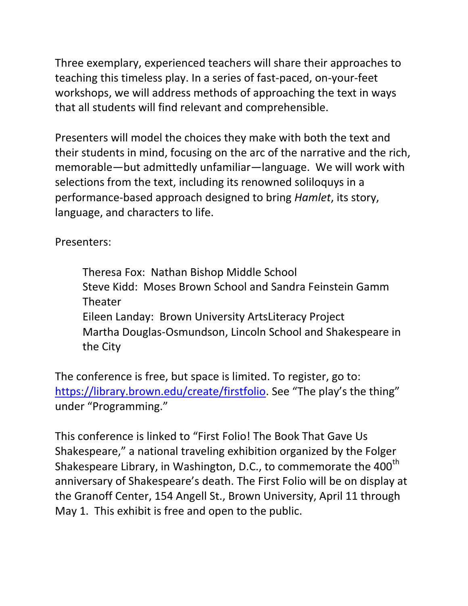Three exemplary, experienced teachers will share their approaches to teaching this timeless play. In a series of fast-paced, on-your-feet workshops, we will address methods of approaching the text in ways that all students will find relevant and comprehensible.

Presenters will model the choices they make with both the text and their students in mind, focusing on the arc of the narrative and the rich, memorable—but admittedly unfamiliar—language. We will work with selections from the text, including its renowned soliloquys in a performance-based approach designed to bring *Hamlet*, its story, language, and characters to life.

Presenters:

Theresa Fox: Nathan Bishop Middle School Steve Kidd: Moses Brown School and Sandra Feinstein Gamm Theater Eileen Landay: Brown University ArtsLiteracy Project Martha Douglas-Osmundson, Lincoln School and Shakespeare in the City

The conference is free, but space is limited. To register, go to: <https://library.brown.edu/create/firstfolio></u>. See "The play's the thing" under "Programming."

This conference is linked to "First Folio! The Book That Gave Us Shakespeare," a national traveling exhibition organized by the Folger Shakespeare Library, in Washington, D.C., to commemorate the 400<sup>th</sup> anniversary of Shakespeare's death. The First Folio will be on display at the Granoff Center, 154 Angell St., Brown University, April 11 through May 1. This exhibit is free and open to the public.